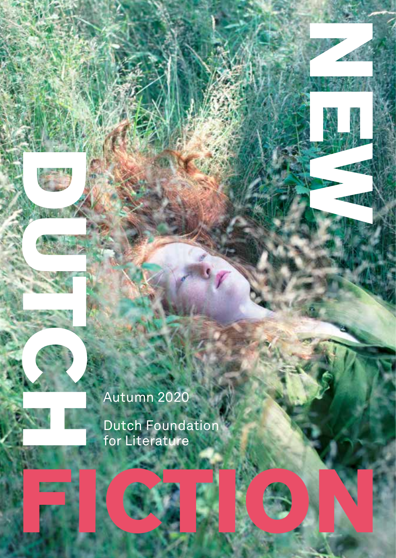# Autumn 2020

Dutch Foundation for Literature **FICTION** 

**NEW YORK**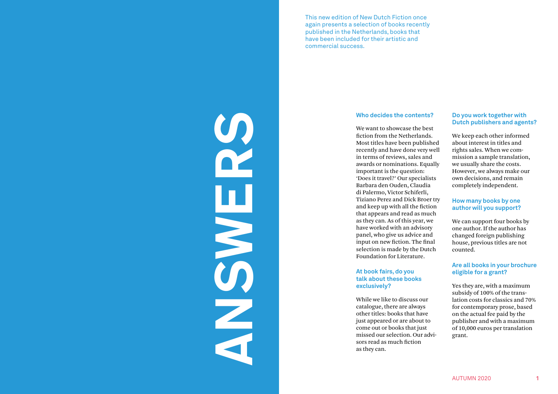This new edition of New Dutch Fiction once again presents a selection of books recently published in the Netherlands, books that have been included for their artistic and commercial success.

#### **Who decides the contents?**

We want to showcase the best fiction from the Netherlands. Most titles have been published recently and have done very well in terms of reviews, sales and awards or nominations. Equally important is the question: 'Does it travel?' Our specialists Barbara den Ouden, Claudia di Palermo, Victor Schiferli, Tiziano Perez and Dick Broer try and keep up with all the fiction that appears and read as much as they can. As of this year, we have worked with an advisory panel, who give us advice and input on new fiction. The final selection is made by the Dutch Foundation for Literature.

#### **At book fairs, do you talk about these books exclusively?**

ANSWERS

While we like to discuss our catalogue, there are always other titles: books that have just appeared or are about to come out or books that just missed our selection. Our advisors read as much fiction as they can.

#### **Do you work together with Dutch publishers and agents?**

We keep each other informed about interest in titles and rights sales. When we commission a sample translation, we usually share the costs. However, we always make our own decisions, and remain completely independent.

#### **How many books by one author will you support?**

We can support four books by one author. If the author has changed foreign publishing house, previous titles are not counted.

#### **Are all books in your brochure eligible for a grant?**

Yes they are, with a maximum subsidy of 100% of the translation costs for classics and 70% for contemporary prose, based on the actual fee paid by the publisher and with a maximum of 10,000 euros per translation grant.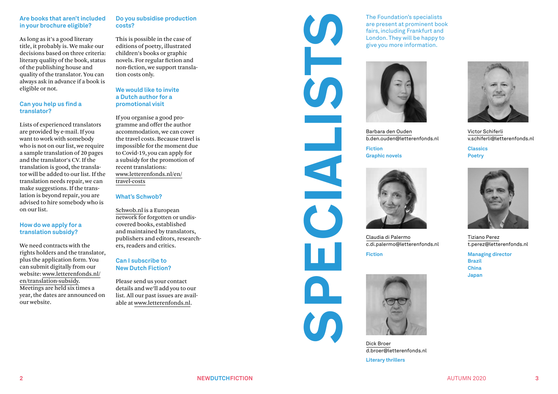#### **Are books that aren't included in your brochure eligible?**

As long as it's a good literary title, it probably is. We make our decisions based on three criteria: literary quality of the book, status of the publishing house and quality of the translator. You can always ask in advance if a book is eligible or not.

#### **Can you help us find a translator?**

Lists of experienced translators are provided by e -mail. If you want to work with somebody who is not on our list, we require a sample translation of 20 pages and the translator's CV. If the translation is good, the transla tor will be added to our list. If the translation needs repair, we can make suggestions. If the trans lation is beyond repair, you are advised to hire somebody who is on our list.

#### **How do we apply for a translation subsidy?**

We need contracts with the rights holders and the translator, plus the application form. You can submit digitally from our website: www.letterenfonds.nl/ en/translation -subsidy. Meetings are held six times a year, the dates are announced on our website.

#### **Do you subsidise production costs?**

This is possible in the case of editions of poetry, illustrated children's books or graphic novels. For regular fiction and non -fiction, we support transla tion costs only.

#### **We would like to invite a Dutch author for a promotional visit**

If you organise a good pro gramme and offer the author accommodation, we can cover the travel costs. Because travel is impossible for the moment due to Covid -19, you can apply for a subsidy for the promotion of recent translations: www.letterenfonds.nl/en/ travel -costs

#### **What's Schwob?**

Schwob.nl is a European network for forgotten or undis covered books, established and maintained by translators, publishers and editors, research ers, readers and critics.

#### **Can I subscribe to New Dutch Fiction?**

Please send us your contact details and we'll add you to our list. All our past issues are avail able at www.letterenfonds.nl .



CO

The Foundation's specialists are present at prominent book fairs, including Frankfurt and London. They will be happy to give you more information.



Barbara den Ouden b.den.ouden@letterenfonds.nl

**Fiction Graphic novels**



Claudia di Palermo c.di.palermo@letterenfonds.nl

**Fiction**



Dick Broer d.broer@letterenfonds.nl

**Literary thrillers**



Victor Schiferli v.schiferli@letterenfonds.nl

**Classics Poetry**



Tiziano Perez t.perez@letterenfonds.nl

**Managing director Brazil China Japan**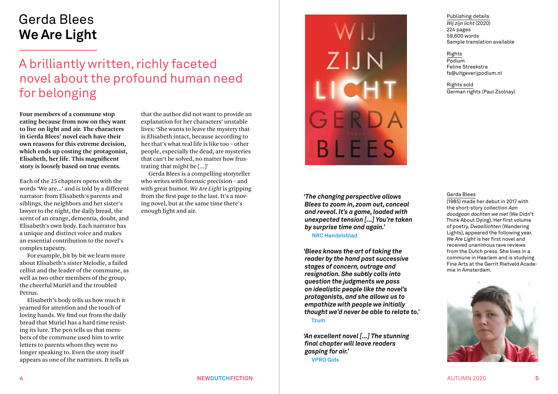# Gerda Blees **We Are Light**

# A brilliantly written, richly faceted novel about the profound human need for belonging

**Four members of a commune stop eating because from now on they want to live on light and air. The characters in Gerda Blees' novel each have their own reasons for this extreme decision, which ends up costing the protagonist, Elisabeth, her life. This magnificent story is loosely based on true events.**

Each of the 25 chapters opens with the words 'We are...' and is told by a different narrator: from Elisabeth's parents and siblings, the neighbors and her sister's lawyer to the night, the daily bread, the scent of an orange, dementia, doubt, and Elisabeth's own body. Each narrator has a unique and distinct voice and makes an essential contribution to the novel's complex tapestry.

For example, bit by bit we learn more about Elisabeth's sister Melodie, a failed cellist and the leader of the commune, as well as two other members of the group, the cheerful Muriël and the troubled Petrus.

Elisabeth's body tells us how much it yearned for attention and the touch of loving hands. We find out from the daily bread that Muriel has a hard time resisting its lure. The pen tells us that members of the commune used him to write letters to parents whom they were no longer speaking to. Even the story itself appears as one of the narrators. It tells us

that the author did not want to provide an explanation for her characters' unstable lives: 'She wants to leave the mystery that is Elisabeth intact, because according to her that's what real life is like too – other people, especially the dead, are mysteries that can't be solved, no matter how frustrating that might be […]'

Gerda Blees is a compelling storyteller who writes with forensic precision– and with great humor. *We Are Light* is gripping from the first page to the last. It's a moving novel, but at the same time there's enough light and air.



*'The changing perspective allows Blees to zoom in, zoom out, conceal and reveal. It's a game, loaded with unexpected tension [...] You're taken by surprise time and again.'* 

**NRC Handelsblad**

*'Blees knows the art of taking the reader by the hand past successive stages of concern, outrage and resignation. She subtly calls into question the judgments we pass on idealistic people like the novel's protagonists, and she allows us to empathize with people we initially thought we'd never be able to relate to.'* **Tzum**

*'An excellent novel [...] The stunning final chapter will leave readers gasping for air.'* **VPRO Gids**

#### Publishing details *Wij zijn licht* (2020) 224 pages 59,600 words Sample translation available

#### Rights Podium Feline Streekstra fs@uitgeverijpodium.nl

Rights sold German rights (Paul Zsolnay)

#### Gerda Blees

(1985) made her debut in 2017 with the short-story collection *Aan doodgaan dachten we niet* (We Didn't Think About Dying). Her first volume of poetry, *Dwaallichten* (Wandering Lights), appeared the following year. *We Are Light* is her first novel and received unanimous rave reviews from the Dutch press. She lives in a commune in Haarlem and is studying Fine Arts at the Gerrit Rietveld Academie in Amsterdam.



#### **4 NEWDUTCHFICTION** AUTUMN 2020 **5**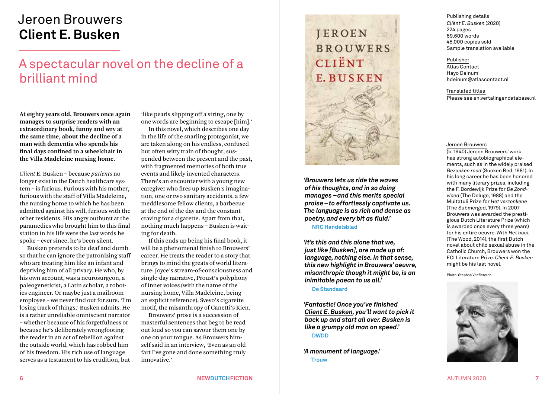# Jeroen Brouwers **Client E. Busken**

# A spectacular novel on the decline of a brilliant mind

**At eighty years old, Brouwers once again manages to surprise readers with an extraordinary book, funny and wry at the same time, about the decline of a man with dementia who spends his final days confined to a wheelchair in the Villa Madeleine nursing home.** 

*Client* E. Busken – because *patients* no longer exist in the Dutch healthcare system – is furious. Furious with his mother, furious with the staff of Villa Madeleine, the nursing home to which he has been admitted against his will, furious with the other residents. His angry outburst at the paramedics who brought him to this final station in his life were the last words he spoke – ever since, he's been silent.

Busken pretends to be deaf and dumb so that he can ignore the patronizing staff who are treating him like an infant and depriving him of all privacy. He who, by his own account, was a neurosurgeon, a paleogeneticist, a Latin scholar, a robotics engineer. Or maybe just a mailroom employee – we never find out for sure. 'I'm losing track of things,' Busken admits. He is a rather unreliable omniscient narrator – whether because of his forgetfulness or because he's deliberately wrongfooting the reader in an act of rebellion against the outside world, which has robbed him of his freedom. His rich use of language serves as a testament to his erudition, but

'like pearls slipping off a string, one by one words are beginning to escape [him].'

In this novel, which describes one day in the life of the snarling protagonist, we are taken along on his endless, confused but often witty train of thought, suspended between the present and the past, with fragmented memories of both true events and likely invented characters. There's an encounter with a young new caregiver who fires up Busken's imagination, one or two sanitary accidents, a few meddlesome fellow clients, a barbecue at the end of the day and the constant craving for a cigarette. Apart from that, nothing much happens – Busken is waiting for death.

If this ends up being his final book, it will be a phenomenal finish to Brouwers' career. He treats the reader to a story that brings to mind the greats of world literature: Joyce's stream-of-consciousness and single-day narrative, Proust's polyphony of inner voices (with the name of the nursing home, Villa Madeleine, being an explicit reference), Svevo's cigarette motif, the misanthropy of Canetti's Kien.

Brouwers' prose is a succession of masterful sentences that beg to be read out loud so you can savour them one by one on your tongue. As Brouwers himself said in an interview, 'Even as an old fart I've gone and done something truly innovative.'



*'Brouwers lets us ride the waves of his thoughts, and in so doing manages –and this merits special praise –to effortlessly captivate us. The language is as rich and dense as poetry, and every bit as fluid.'*

**NRC Handelsblad** 

*'It's this and this alone that we, just like [Busken], are made up of: language, nothing else. In that sense, this new highlight in Brouwers' oeuvre, misanthropic though it might be, is an inimitable paean to us all.'*

**De Standaard**

*'Fantastic! Once you've finished Client E. Busken, you'll want to pick it back up and start all over. Busken is like a grumpy old man on speed.'* **DWDD**

*'A monument of language.'* **Trouw**



#### Publisher

Atlas Contact Hayo Deinum hdeinum@atlascontact.nl

Translated titles Please see en.vertalingendatabase.nl

#### Jeroen Brouwers

(b. 1940) Jeroen Brouwers' work has strong autobiographical elements, such as in the widely praised *Bezonken rood* (Sunken Red, 1981). In his long career he has been honored with many literary prizes, including the F. Bordewijk Prize for *De Zondvloed* (The Deluge, 1988) and the Multatuli Prize for *Het verzonkene* (The Submerged, 1979). In 2007 Brouwers was awarded the prestigious Dutch Literature Prize (which is awarded once every three years) for his entire oeuvre. With *Het hout* (The Wood, 2014), the first Dutch novel about child sexual abuse in the Catholic Church, Brouwers won the ECI Literature Prize. *Client E. Busken* might be his last novel.

Photo: Stephan Vanfleteren

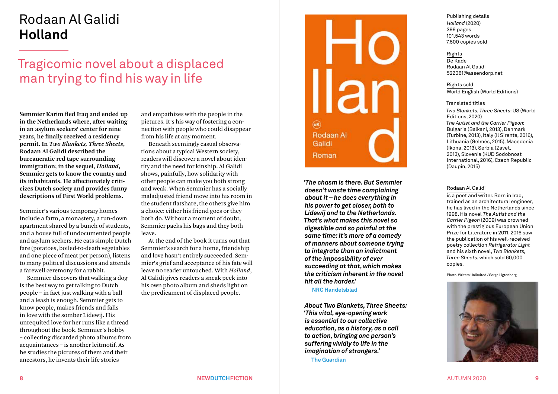# Rodaan Al Galidi **Holland**

# Tragicomic novel about a displaced man trying to find his way in life

**Semmier Karim fled Iraq and ended up in the Netherlands where, after waiting in an asylum seekers' center for nine years, he finally received a residency permit. In** *Two Blankets, Three Sheets***, Rodaan Al Galidi described the bureaucratic red tape surrounding immigration; in the sequel,** *Holland***, Semmier gets to know the country and its inhabitants. He affectionately criticizes Dutch society and provides funny descriptions of First World problems.**

Semmier's various temporary homes include a farm, a monastery, a run-down apartment shared by a bunch of students, and a house full of undocumented people and asylum seekers. He eats simple Dutch fare (potatoes, boiled-to-death vegetables and one piece of meat per person), listens to many political discussions and attends a farewell ceremony for a rabbit.

Semmier discovers that walking a dog is the best way to get talking to Dutch people – in fact just walking with a ball and a leash is enough. Semmier gets to know people, makes friends and falls in love with the somber Lidewij. His unrequited love for her runs like a thread throughout the book. Semmier's hobby – collecting discarded photo albums from acquaintances – is another leitmotif. As he studies the pictures of them and their ancestors, he invents their life stories

and empathizes with the people in the pictures. It's his way of fostering a connection with people who could disappear from his life at any moment.

Beneath seemingly casual observations about a typical Western society, readers will discover a novel about identity and the need for kinship. Al Galidi shows, painfully, how solidarity with other people can make you both strong and weak. When Semmier has a socially maladjusted friend move into his room in the student flatshare, the others give him a choice: either his friend goes or they both do. Without a moment of doubt, Semmier packs his bags and they both leave.

At the end of the book it turns out that Semmier's search for a home, friendship and love hasn't entirely succeeded. Semmier's grief and acceptance of his fate will leave no reader untouched. With *Holland*, Al Galidi gives readers a sneak peek into his own photo album and sheds light on the predicament of displaced people.



*'The chasm is there. But Semmier doesn't waste time complaining about it – he does everything in his power to get closer, both to Lidewij and to the Netherlands. That's what makes this novel so digestible and so painful at the same time: it's more of a comedy of manners about someone trying to integrate than an indictment of the impossibility of ever succeeding at that, which makes the criticism inherent in the novel hit all the harder.'* 

**NRC Handelsblad**

*About Two Blankets, Three Sheets: 'This vital, eye-opening work is essential to our collective education, as a history, as a call to action, bringing one person's suffering vividly to life in the imagination of strangers.'* 

**The Guardian**

Publishing details *Holland* (2020) 399 pages 101,543 words 7,500 copies sold

Rights De Kade Rodaan Al Galidi 522061@assendorp.net

Rights sold World English (World Editions)

#### Translated titles

*Two Blankets, Three Sheets*: US (World Editions, 2020) *The Autist and the Carrier Pigeon*: Bulgaria (Balkani, 2013), Denmark (Turbine, 2013), Italy (Il Sirente, 2016), Lithuania (Gelmés, 2015), Macedonia (Ikona, 2013), Serbia (Zavet, 2013), Slovenia (KUD Sodobnost International, 2016), Czech Republic (Daupin, 2015)

#### Rodaan Al Galidi

is a poet and writer. Born in Iraq, trained as an architectural engineer, he has lived in the Netherlands since 1998. His novel *The Autist and the Carrier Pigeon* (2009) was crowned with the prestigious European Union Prize for Literature in 2011. 2016 saw the publication of his well-received poetry collection *Refrigerator Light* and his sixth novel, *Two Blankets, Three Sheets*, which sold 60,000 copies.

Photo: Writers Unlimited /Serge Ligtenberg

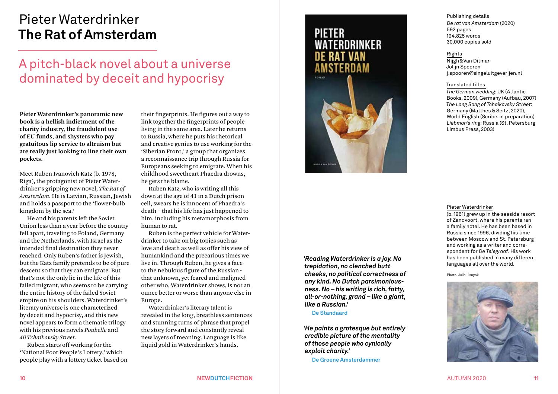# Pieter Waterdrinker **The Rat of Amsterdam**

# A pitch-black novel about a universe dominated by deceit and hypocrisy

**Pieter Waterdrinker's panoramic new book is a hellish indictment of the charity industry, the fraudulent use of EU funds, and shysters who pay gratuitous lip service to altruism but are really just looking to line their own pockets.**

Meet Ruben Ivanovich Katz (b. 1978, Riga), the protagonist of Pieter Waterdrinker's gripping new novel, *The Rat of Amsterdam*. He is Latvian, Russian, Jewish and holds a passport to the 'flower-bulb kingdom by the sea.'

He and his parents left the Soviet Union less than a year before the country fell apart, traveling to Poland, Germany and the Netherlands, with Israel as the intended final destination they never reached. Only Ruben's father is Jewish, but the Katz family pretends to be of pure descent so that they can emigrate. But that's not the only lie in the life of this failed migrant, who seems to be carrying the entire history of the failed Soviet empire on his shoulders. Waterdrinker's literary universe is one characterized by deceit and hypocrisy, and this new novel appears to form a thematic trilogy with his previous novels *Poubelle* and *40 Tchaikovsky Street*.

Ruben starts off working for the 'National Poor People's Lottery,' which people play with a lottery ticket based on

their fingerprints. He figures out a way to link together the fingerprints of people living in the same area. Later he returns to Russia, where he puts his rhetorical and creative genius to use working for the 'Siberian Front,' a group that organizes a reconnaissance trip through Russia for Europeans seeking to emigrate. When his childhood sweetheart Phaedra drowns, he gets the blame.

Ruben Katz, who is writing all this down at the age of 41 in a Dutch prison cell, swears he is innocent of Phaedra's death – that his life has just happened to him, including his metamorphosis from human to rat.

Ruben is the perfect vehicle for Waterdrinker to take on big topics such as love and death as well as offer his view of humankind and the precarious times we live in. Through Ruben, he gives a face to the nebulous figure of the Russian that unknown, yet feared and maligned other who, Waterdrinker shows, is not an ounce better or worse than anyone else in Europe.

Waterdrinker's literary talent is revealed in the long, breathless sentences and stunning turns of phrase that propel the story forward and constantly reveal new layers of meaning. Language is like liquid gold in Waterdrinker's hands.



*'Reading Waterdrinker is a joy. No trepidation, no clenched butt cheeks, no political correctness of any kind. No Dutch parsimoniousness. No – his writing is rich, fatty, all-or-nothing, grand – like a giant, like a Russian.'*

**De Standaard**

*'He paints a grotesque but entirely credible picture of the mentality of those people who cynically exploit charity.'* 

**De Groene Amsterdammer**

Publishing details *De rat van Amsterdam* (2020) 592 pages 194,825 words 30,000 copies sold

#### Rights

Nijgh&Van Ditmar Jolijn Spooren j.spooren@singeluitgeverijen.nl

#### Translated titles

*The German wedding*: UK (Atlantic Books, 2009), Germany (Aufbau, 2007) *The Long Song of Tchaikovsky Street*: Germany (Matthes & Seitz, 2020), World English (Scribe, in preparation) *Liebman's ring*: Russia (St. Petersburg Limbus Press, 2003)

#### Pieter Waterdrinker

(b. 1961) grew up in the seaside resort of Zandvoort, where his parents ran a family hotel. He has been based in Russia since 1996, dividing his time between Moscow and St. Petersburg and working as a writer and correspondent for *De Telegraaf*. His work has been published in many different languages all over the world.

Photo: Julia Lisnyak

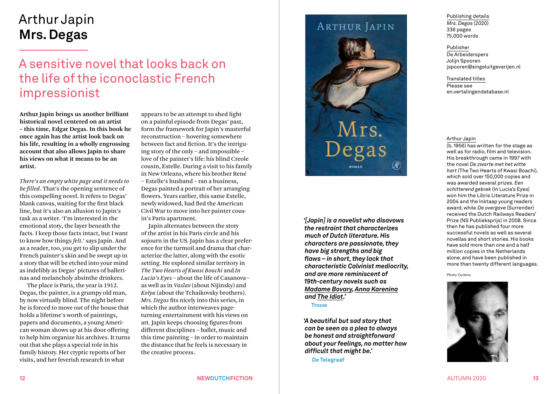# Arthur Japin **Mrs. Degas**

# A sensitive novel that looks back on the life of the iconoclastic French impressionist

**Arthur Japin brings us another brilliant historical novel centered on an artist – this time, Edgar Degas. In this book he once again has the artist look back on his life, resulting in a wholly engrossing account that also allows Japin to share his views on what it means to be an artist.**

*There's an empty white page and it needs to be filled*. That's the opening sentence of this compelling novel. It refers to Degas' blank canvas, waiting for the first black line, but it's also an allusion to Japin's task as a writer. 'I'm interested in the emotional story, the layer beneath the facts. I keep those facts intact, but I want to know how things *felt*.' says Japin. And as a reader, too, you get to slip under the French painter's skin and be swept up in a story that will be etched into your mind as indelibly as Degas' pictures of ballerinas and melancholy absinthe drinkers.

The place is Paris, the year is 1912. Degas, the painter, is a grumpy old man, by now virtually blind. The night before he is forced to move out of the house that holds a lifetime's worth of paintings, papers and documents, a young American woman shows up at his door offering to help him organize his archives. It turns out that she plays a special role in his family history. Her cryptic reports of her visits, and her feverish research in what

appears to be an attempt to shed light on a painful episode from Degas' past, form the framework for Japin's masterful reconstruction – hovering somewhere between fact and fiction. It's the intriguing story of the only – and impossible – love of the painter's life: his blind Creole cousin, Estelle. During a visit to his family in New Orleans, where his brother René – Estelle's husband – ran a business, Degas painted a portrait of her arranging flowers. Years earlier, this same Estelle, newly widowed, had fled the American Civil War to move into her painter cousin's Paris apartment.

Japin alternates between the story of the artist in his Paris circle and his sojourn in the US. Japin has a clear preference for the turmoil and drama that characterize the latter, along with the exotic setting. He explored similar territory in *The Two Hearts of Kwasi Boachi* and *In Lucia's Eyes* – about the life of Casanova – as well as in *Vaslav* (about Nijinsky) and *Kolya* (about the Tchaikovsky brothers). *Mrs. Degas* fits nicely into this series, in which the author interweaves pageturning entertainment with his views on art. Japin keeps choosing figures from different disciplines – ballet, music and this time painting – in order to maintain the distance that he feels is necessary in the creative process.

## **ARTHUR JAPIN**



*'[Japin] is a novelist who disavows the restraint that characterizes much of Dutch literature. His characters are passionate, they have big strengths and big flaws – in short, they lack that characteristic Calvinist mediocrity, and are more reminiscent of 19th-century novels such as Madame Bovary, Anna Karenina and The Idiot.'* 

**Trouw**

*'A beautiful but sad story that can be seen as a plea to always be honest and straightforward about your feelings, no matter how difficult that might be.'* 

**De Telegraaf**

Publishing details *Mrs. Degas* (2020) 336 pages 75,000 words

Publisher De Arbeiderspers Jolijn Spooren jspooren@singeluitgeverijen.nl

Translated titles

Please see en.vertalingendatabase.nl

#### Arthur Japin

(b. 1956) has written for the stage as well as for radio, film and television. His breakthrough came in 1997 with the novel *De zwarte met het witte hart* (The Two Hearts of Kwasi Boachi), which sold over 150,000 copies and was awarded several prizes. *Een schitterend gebrek* (In Lucia's Eyes) won him the Libris Literature Prize in 2004 and the Inktaap young readers award, while *De overgave* (Surrender) received the Dutch Railways Readers' Prize (NS Publieksprijs) in 2008. Since then he has published four more successful novels as well as several novellas and short stories. His books have sold more than one and a half million copies in the Netherlands alone, and have been published in more than twenty different languages.

Photo: Corbino

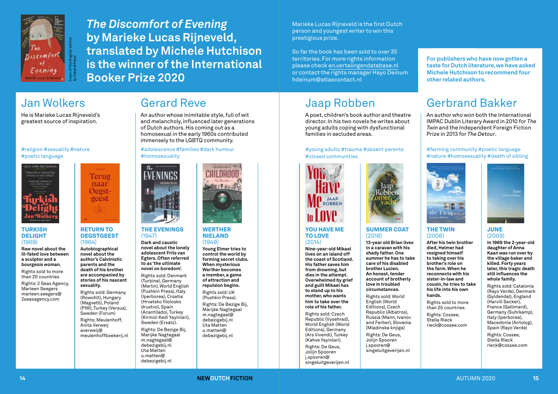

*The Discomfort of Evening* **by Marieke Lucas Rijneveld, translated by Michele Hutchison is the winner of the International Booker Prize 2020**

Gerard Reve

Marieke Lucas Rijneveld is the first Dutch person and youngest writer to win this prestigious prize.

So far the book has been sold to over 35 territories. For more rights information please check en.vertalingendatabase.nl or contact the rights manager Hayo Deinum hdeinum@atlascontact.nl

# Jaap Robben

A poet, children's book author and theatre director. In his two novels he writes about young adults coping with dysfunctional families in secluded areas.

#### #young adults #trauma #absent parents #closed communities



#### YOU HAVE ME TO LOVE (2014)

**Nine-year-old Mikael lives on an island off the coast of Scotland. His father saves him from drowning, but dies in the attempt. Overwhelmed by grief and guilt Mikael has to stand up to his mother, who wants him to take over the role of his father.** 

Rights sold: Czech Republic (Vysehrad), World English (World Editions), Germany (Ars Vivendi), Turkey (Kahve Yayinlari). Rights: De Geus,

Jolijn Spooren j.spooren@ singeluitgeverijen.nl

**For publishers who have now gotten a taste for Dutch literature, we have asked Michele Hutchison to recommend four other related authors.**

# Gerbrand Bakker

An author who won both the International IMPAC Dublin Literary Award in 2010 for *The Twin* and the Independent Foreign Fiction Prize in 2013 for *The Detour*.

#farming community #poetic language #nature #homosexuality #death of sibling



#### THE TWIN (2006) **After his twin brother**  SUMMER COAT

**hands.** 

Rights sold to more than 25 countries. Rights: Cossee, Stella Rieck rieck@cossee.com

**died, Helmer had resigned himself to taking over his brother's role on the farm. When he reconnects with his sister-in-law and cousin, he tries to take his life into his own 13-year old Brian lives in a caravan with his shady father. One summer he has to take care of his disabled brother Lucien. An honest, tender account of brotherly love in troubled circumstances.**

(2018)

Rights sold: World English (World Editions), Czech Republic (Albatros), Russia (Mann, Ivanov and Ferber), Slovenia (Mladinska knjiga)

Rights: De Geus, Jolijn Spooren j.spooren@ singeluitgeverijen.nl



#### JUNE (2009)

**In 1969 the 2-year-old daughter of Anna Kaan was run over by the village baker and killed. Forty years later, this tragic death still influences the whole family.**

Rights sold: Catalonia (Rayo Verde), Denmark (Gyldendal), England (Harvill Secker), France (Gallimard), Germany (Suhrkamp), Italy (Iperborea), Macedonia (Antolog), Spain (Rayo Verde) Rights: Cossee, Stella Rieck rieck@cossee.com

# Jan Wolkers

He is Marieke Lucas Rijneveld's greatest source of inspiration.

by Faber&Faber

#### #religion #sexuality #nature #poetic language



#### **TURKISH** DELIGHT (1969)

**Raw novel about the ill-fated love between a sculptor and a bourgeois woman.**

Rights sold to more than 20 countries

Rights: 2 Seas Agency, Marleen Seegers marleen.seegers@ 2seasagency.com



#### RETURN TO **OEGSTGEEST** (1964)

Terug naar Oegstgeest

**Autobiographical novel about the author's Calvinistic parents and the death of his brother** 

**are accompanied by stories of his nascent sexuality.**  Rights sold: Germany

(Rowohlt), Hungary (Magvető), Poland (PIW), Turkey (Versus), Sweden (Forum) Rights: Meulenhoff, Anita Verweij

averweij@

Uta Matten u.matten@ meulenhoffboekerij.nl



An author whose inimitable style, full of wit and melancholy, influenced later generations

of Dutch authors. His coming out as a homosexual in the early 1960s contributed immensely to the LGBTQ community. #adolescence #families #dark humour

#### THE EVENINGS (1947) **Dark and caustic**

#homosexuality

**novel about the lonely adolescent Frits van Egters. Often referred to as 'the ultimate novel on boredom'.**

Rights sold: Denmark (Turbine), Germany (Merlin), World English (Pushkin Press), Italy (Iperborea), Croatia (Hrvatsko filolosko drustvo), Spain (Acantilado), Turkey (Kirmizi Kedi Yayinlari), Sweden (Ersatz).

Rights: De Bezige Bij, Marijke Nagtegaal m.nagtegaal@ debezigebij.nl



#### **WERTHER** NIELAND  $(1949)$

**Young Elmer tries to control the world by forming secret clubs. When mysterious** 

debezigebij.nl





u.matten@ debezigebij.nl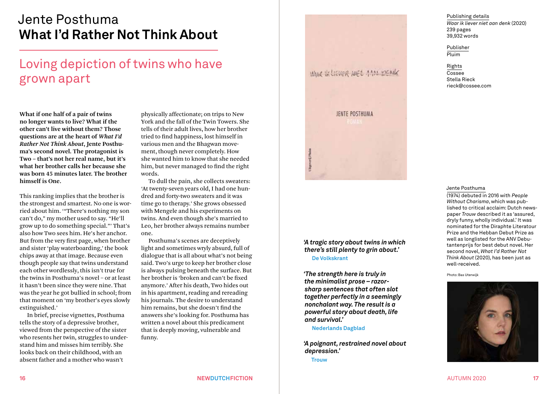# Jente Posthuma **What I'd Rather Not Think About**

# Loving depiction of twins who have grown apart

**What if one half of a pair of twins no longer wants to live? What if the other can't live without them? Those questions are at the heart of** *What I'd Rather Not Think About***, Jente Posthuma's second novel. The protagonist is Two – that's not her real name, but it's what her brother calls her because she was born 45 minutes later. The brother himself is One.**

This ranking implies that the brother is the strongest and smartest. No one is worried about him. '"There's nothing my son can't do," my mother used to say. "He'll grow up to do something special."' That's also how Two sees him. He's her anchor. But from the very first page, when brother and sister 'play waterboarding,' the book chips away at that image. Because even though people say that twins understand each other wordlessly, this isn't true for the twins in Posthuma's novel – or at least it hasn't been since they were nine. That was the year he got bullied in school; from that moment on 'my brother's eyes slowly extinguished.'

In brief, precise vignettes, Posthuma tells the story of a depressive brother, viewed from the perspective of the sister who resents her twin, struggles to understand him and misses him terribly. She looks back on their childhood, with an absent father and a mother who wasn't

physically affectionate; on trips to New York and the fall of the Twin Towers. She tells of their adult lives, how her brother tried to find happiness, lost himself in various men and the Bhagwan movement, though never completely. How she wanted him to know that she needed him, but never managed to find the right words.

To dull the pain, she collects sweaters: 'At twenty-seven years old, I had one hundred and forty-two sweaters and it was time go to therapy.' She grows obsessed with Mengele and his experiments on twins. And even though she's married to Leo, her brother always remains number one.

Posthuma's scenes are deceptively light and sometimes wryly absurd, full of dialogue that is all about what's not being said. Two's urge to keep her brother close is always pulsing beneath the surface. But her brother is 'broken and can't be fixed anymore.' After his death, Two hides out in his apartment, reading and rereading his journals. The desire to understand him remains, but she doesn't find the answers she's looking for. Posthuma has written a novel about this predicament that is deeply moving, vulnerable and funny.

WAAR IK LIEVER NEE AAM DENIK

JENTE POSTHUMA

*'A tragic story about twins in which there's still plenty to grin about.'*  **De Volkskrant**

*'The strength here is truly in the minimalist prose – razorsharp sentences that often slot together perfectly in a seemingly nonchalant way. The result is a powerful story about death, life and survival.'* 

#### **Nederlands Dagblad**

*'A poignant, restrained novel about depression.'* 

**Trouw**

Publishing details *Waar ik liever niet aan denk* (2020) 239 pages 39,932 words

Publisher Pluim

> Rights Cossee Stella Rieck rieck@cossee.com

#### Jente Posthuma

(1974) debuted in 2016 with *People Without Charisma*, which was published to critical acclaim: Dutch newspaper *Trouw* described it as 'assured, dryly funny, wholly individual.' It was nominated for the Diraphte Literatour Prize and the Hebban Debut Prize as well as longlisted for the ANV Debutantenprijs for best debut novel. Her second novel, *What I'd Rather Not Think About* (2020), has been just as well-received.

#### Photo: Bas Uterwijk

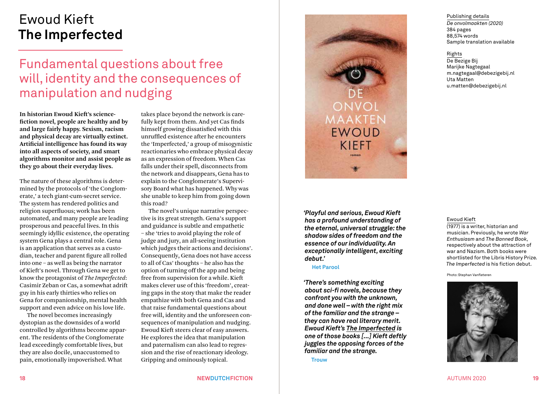# Ewoud Kieft **The Imperfected**

# Fundamental questions about free will, identity and the consequences of manipulation and nudging

**In historian Ewoud Kieft's sciencefiction novel, people are healthy and by and large fairly happy. Sexism, racism and physical decay are virtually extinct. Artificial intelligence has found its way into all aspects of society, and smart algorithms monitor and assist people as they go about their everyday lives.**

The nature of these algorithms is determined by the protocols of 'the Conglomerate,' a tech giant-cum-secret service. The system has rendered politics and religion superfluous; work has been automated, and many people are leading prosperous and peaceful lives. In this seemingly idyllic existence, the operating system Gena plays a central role. Gena is an application that serves as a custodian, teacher and parent figure all rolled into one – as well as being the narrator of Kieft's novel. Through Gena we get to know the protagonist of *The Imperfected*: Casimir Zeban or Cas, a somewhat adrift guy in his early thirties who relies on Gena for companionship, mental health support and even advice on his love life.

The novel becomes increasingly dystopian as the downsides of a world controlled by algorithms become apparent. The residents of the Conglomerate lead exceedingly comfortable lives, but they are also docile, unaccustomed to pain, emotionally impoverished. What

takes place beyond the network is carefully kept from them. And yet Cas finds himself growing dissatisfied with this unruffled existence after he encounters the 'Imperfected,' a group of misogynistic reactionaries who embrace physical decay as an expression of freedom. When Cas falls under their spell, disconnects from the network and disappears, Gena has to explain to the Conglomerate's Supervisory Board what has happened. Why was she unable to keep him from going down this road?

The novel's unique narrative perspective is its great strength. Gena's support and guidance is subtle and empathetic – she 'tries to avoid playing the role of judge and jury, an all-seeing institution which judges their actions and decisions'. Consequently, Gena does not have access to all of Cas' thoughts – he also has the option of turning off the app and being free from supervision for a while. Kieft makes clever use of this 'freedom', creating gaps in the story that make the reader empathize with both Gena and Cas and that raise fundamental questions about free will, identity and the unforeseen consequences of manipulation and nudging. Ewoud Kieft steers clear of easy answers. He explores the idea that manipulation and paternalism can also lead to regression and the rise of reactionary ideology. Gripping and ominously topical.



*'Playful and serious, Ewoud Kieft has a profound understanding of the eternal, universal struggle: the shadow sides of freedom and the essence of our individuality. An exceptionally intelligent, exciting debut.'* 

#### **Het Parool**

*'There's something exciting about sci-fi novels, because they confront you with the unknown, and done well – with the right mix of the familiar and the strange – they can have real literary merit. Ewoud Kieft's The Imperfected is one of those books [...] Kieft deftly juggles the opposing forces of the familiar and the strange.* 

**Trouw**

Publishing details *De onvolmaakten (2020)* 384 pages 88,574 words Sample translation available

Rights De Bezige Bij Marijke Nagtegaal m.nagtegaal@debezigebij.nl Uta Matten u.matten@debezigebij.nl

#### Ewoud Kieft

(1977) is a writer, historian and musician. Previously, he wrote *War Enthusiasm* and *The Banned Book*, respectively about the attraction of war and Nazism. Both books were shortlisted for the Libris History Prize. *The Imperfected* is his fiction debut.

Photo: Stephan Vanfleteren

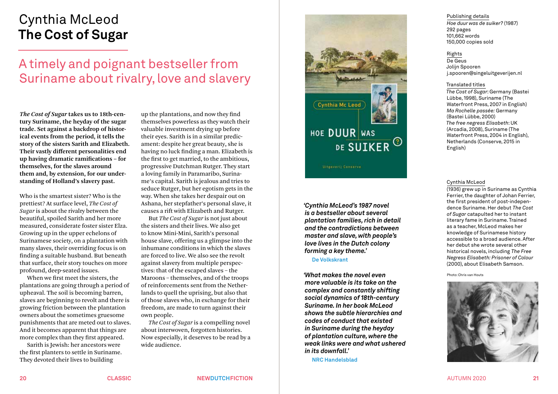# Cynthia McLeod **The Cost of Sugar**

# A timely and poignant bestseller from Suriname about rivalry, love and slavery

*The Cost of Sugar* **takes us to 18th-century Suriname, the heyday of the sugar trade. Set against a backdrop of historical events from the period, it tells the story of the sisters Sarith and Elizabeth. Their vastly different personalities end up having dramatic ramifications – for themselves, for the slaves around them and, by extension, for our understanding of Holland's slavery past.**

Who is the smartest sister? Who is the prettiest? At surface level, *The Cost of Sugar* is about the rivalry between the beautiful, spoiled Sarith and her more measured, considerate foster sister Elza. Growing up in the upper echelons of Surinamese society, on a plantation with many slaves, their overriding focus is on finding a suitable husband. But beneath that surface, their story touches on more profound, deep-seated issues.

When we first meet the sisters, the plantations are going through a period of upheaval. The soil is becoming barren, slaves are beginning to revolt and there is growing friction between the plantation owners about the sometimes gruesome punishments that are meted out to slaves. And it becomes apparent that things are more complex than they first appeared.

Sarith is Jewish: her ancestors were the first planters to settle in Suriname. They devoted their lives to building

up the plantations, and now they find themselves powerless as they watch their valuable investment drying up before their eyes. Sarith is in a similar predicament: despite her great beauty, she is having no luck finding a man. Elizabeth is the first to get married, to the ambitious, progressive Dutchman Rutger. They start a loving family in Paramaribo, Suriname's capital. Sarith is jealous and tries to seduce Rutger, but her egotism gets in the way. When she takes her despair out on Ashana, her stepfather's personal slave, it causes a rift with Elizabeth and Rutger.

But *The Cost of Sugar* is not just about the sisters and their lives. We also get to know Mini-Mini, Sarith's personal house slave, offering us a glimpse into the inhumane conditions in which the slaves are forced to live. We also see the revolt against slavery from multiple perspectives: that of the escaped slaves – the Maroons – themselves, and of the troops of reinforcements sent from the Netherlands to quell the uprising, but also that of those slaves who, in exchange for their freedom, are made to turn against their own people.

*The Cost of Sugar* is a compelling novel about interwoven, forgotten histories. Now especially, it deserves to be read by a wide audience.



**Ultgeveril Conserve** 

*'Cynthia McLeod's 1987 novel is a bestseller about several plantation families, rich in detail and the contradictions between master and slave, with people's love lives in the Dutch colony forming a key theme.'* 

**De Volkskrant**

*'What makes the novel even more valuable is its take on the complex and constantly shifting social dynamics of 18th-century Suriname. In her book McLeod shows the subtle hierarchies and codes of conduct that existed in Suriname during the heyday of plantation culture, where the weak links were and what ushered in its downfall.'*

**NRC Handelsblad**

# Publishing details

*Hoe duur was de suiker?* (1987) 292 pages 101,662 words 150,000 copies sold

#### Rights

De Geus Jolijn Spooren j.spooren@singeluitgeverijen.nl

#### Translated titles

*The Cost of Sugar*: Germany (Bastei Lübbe, 1998), Suriname (The Waterfront Press, 2007 in English) *Ma Rochelle passée:* Germany (Bastei Lübbe, 2000) *The free negress Elisabeth*: UK (Arcadia, 2008), Suriname (The Waterfront Press, 2004 in English), Netherlands (Conserve, 2015 in English)

#### Cynthia McLeod

(1936) grew up in Suriname as Cynthia Ferrier, the daughter of Johan Ferrier, the first president of post-independence Suriname. Her debut *The Cost of Sugar* catapulted her to instant literary fame in Suriname. Trained as a teacher, McLeod makes her knowledge of Surinamese history accessible to a broad audience. After her debut she wrote several other historical novels, including *The Free Negress Elisabeth: Prisoner of Colour* (2000), about Elisabeth Samson.

Photo: Chris van Houts



**20 CLASSIC NEWDUTCHFICTION** AUTUMN 2020 **21**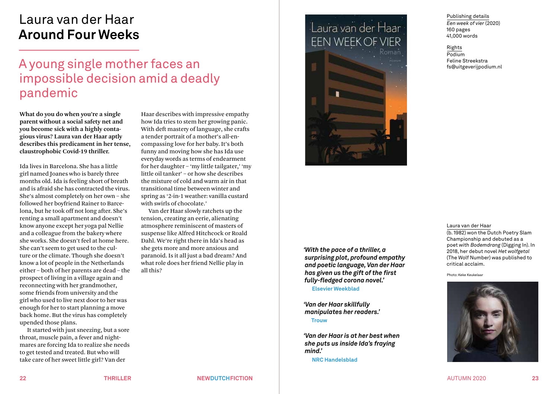# Laura van der Haar **Around Four Weeks**

# A young single mother faces an impossible decision amid a deadly pandemic

**What do you do when you're a single parent without a social safety net and you become sick with a highly contagious virus? Laura van der Haar aptly describes this predicament in her tense, claustrophobic Covid-19 thriller.**

Ida lives in Barcelona. She has a little girl named Joanes who is barely three months old. Ida is feeling short of breath and is afraid she has contracted the virus. She's almost completely on her own – she followed her boyfriend Rainer to Barcelona, but he took off not long after. She's renting a small apartment and doesn't know anyone except her yoga pal Nellie and a colleague from the bakery where she works. She doesn't feel at home here. She can't seem to get used to the culture or the climate. Though she doesn't know a lot of people in the Netherlands either – both of her parents are dead – the prospect of living in a village again and reconnecting with her grandmother, some friends from university and the girl who used to live next door to her was enough for her to start planning a move back home. But the virus has completely upended those plans.

It started with just sneezing, but a sore throat, muscle pain, a fever and nightmares are forcing Ida to realize she needs to get tested and treated. But who will take care of her sweet little girl? Van der

Haar describes with impressive empathy how Ida tries to stem her growing panic. With deft mastery of language, she crafts a tender portrait of a mother's all-encompassing love for her baby. It's both funny and moving how she has Ida use everyday words as terms of endearment for her daughter – 'my little tailgater,' 'my little oil tanker' – or how she describes the mixture of cold and warm air in that transitional time between winter and spring as '2-in-1 weather: vanilla custard with swirls of chocolate.'

Van der Haar slowly ratchets up the tension, creating an eerie, alienating atmosphere reminiscent of masters of suspense like Alfred Hitchcock or Roald Dahl. We're right there in Ida's head as she gets more and more anxious and paranoid. Is it all just a bad dream? And what role does her friend Nellie play in all this?



*'With the pace of a thriller, a surprising plot, profound empathy and poetic language, Van der Haar has given us the gift of the first fully-fledged corona novel.'* 

**Elsevier Weekblad** 

*'Van der Haar skillfully manipulates her readers.'* 

**Trouw**

*'Van der Haar is at her best when she puts us inside Ida's fraying mind.'* 

**NRC Handelsblad**

Publishing details *Een week of vier* (2020) 160 pages 41,000 words

Rights Podium Feline Streekstra fs@uitgeverijpodium.nl

#### Laura van der Haar

(b. 1982) won the Dutch Poetry Slam Championship and debuted as a poet with *Bodemdrang* (Digging In). In 2018, her debut novel *Het wolfgetal* (The Wolf Number) was published to critical acclaim.

Photo: Keke Keukelaar



**22 THRILLER NEWDUTCHFICTION** AUTUMN 2020 **23**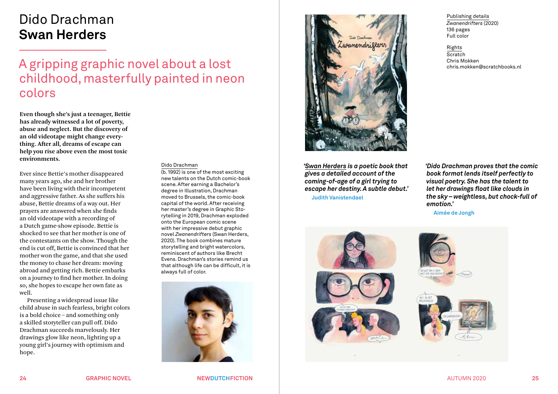# Dido Drachman **Swan Herders**

A gripping graphic novel about a lost childhood, masterfully painted in neon colors

**Even though she's just a teenager, Bettie has already witnessed a lot of poverty, abuse and neglect. But the discovery of an old videotape might change everything. After all, dreams of escape can help you rise above even the most toxic environments.**

Ever since Bettie's mother disappeared many years ago, she and her brother have been living with their incompetent and aggressive father. As she suffers his abuse, Bettie dreams of a way out. Her prayers are answered when she finds an old videotape with a recording of a Dutch game-show episode. Bettie is shocked to see that her mother is one of the contestants on the show. Though the end is cut off, Bettie is convinced that her mother won the game, and that she used the money to chase her dream: moving abroad and getting rich. Bettie embarks on a journey to find her mother. In doing so, she hopes to escape her own fate as well.

Presenting a widespread issue like child abuse in such fearless, bright colors is a bold choice – and something only a skilled storyteller can pull off. Dido Drachman succeeds marvelously. Her drawings glow like neon, lighting up a young girl's journey with optimism and hope.

#### Dido Drachman

(b. 1992) is one of the most exciting new talents on the Dutch comic-book scene. After earning a Bachelor's degree in Illustration, Drachman moved to Brussels, the comic-book capital of the world. After receiving her master's degree in Graphic Storytelling in 2019, Drachman exploded onto the European comic scene with her impressive debut graphic novel *Zwanendrifters* (Swan Herders, 2020). The book combines mature storytelling and bright watercolors, reminiscent of authors like Brecht Evens. Drachman's stories remind us that although life can be difficult, it is always full of color.





*'Swan Herders is a poetic book that gives a detailed account of the coming-of-age of a girl trying to escape her destiny. A subtle debut.'*  **Judith Vanistendael**

Publishing details *Zwanendrifters* (2020) 136 pages Full color

Rights **Scratch** Chris Mokken chris.mokken@scratchbooks.nl

*'Dido Drachman proves that the comic book format lends itself perfectly to visual poetry. She has the talent to let her drawings float like clouds in the sky – weightless, but chock-full of emotion.'* 

**Aimée de Jongh**



**24 GRAPHIC NOVEL NEWDUTCHFICTION** AUTUMN 2020 **25**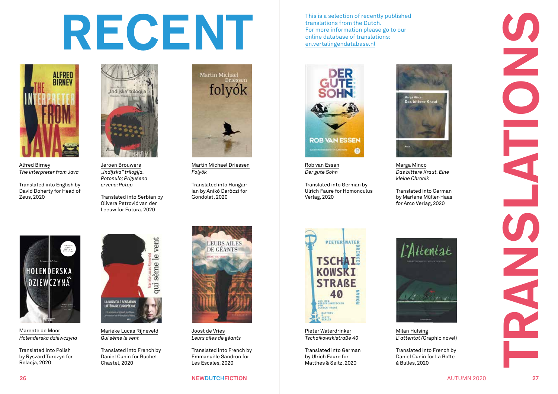# This is a selection of recently put translations from the Dutch.<br>For more information please got online database of translations:<br><u>en.vertalingendatabase.nl</u> **<sup>26</sup> NEWDUTCHFICTION** AUTUMN 2020 **<sup>27</sup>**TRANSLATIONS



Alfred Birney *The interpreter from Java*

Translated into English by David Doherty for Head of Zeus, 2020



Jeroen Brouwers *"Indijska" trilogija. Potonulo; Prigušeno crveno; Potop* 

Translated into Serbian by Olivera Petrović van der Leeuw for Futura, 2020



Martin Michael Driessen *Folyók*

Translated into Hungar ian by Anikó Daróczi for Gondolat, 2020

This is a selection of recently published translations from the Dutch. For more information please go to our



Rob van Essen *Der gute Sohn*

Translated into German by Ulrich Faure for Homonculus Verlag, 2020



Marga Minco *Das bittere Kraut. Eine kleine Chronik* 

Translated into German



Pieter Waterdrinker *Tschaikowskistraße 40*

Translated into German by Ulrich Faure for Matthes & Seitz, 2020



by Marlene Müller-Haas for Arco Verlag, 2020



Milan Hulsing *L' attentat (*Graphic novel)

Translated into French by Daniel Cunin for La Boîte à Bulles, 2020

## HOLENDERSKA **DZIEWCZYNA** POWIEŚĆ o bliznach zostawionych <sup>E</sup> <sup>U</sup> RO PE <sup>A</sup> <sup>N</sup> U N I O N PR <sup>I</sup> <sup>Z</sup> <sup>E</sup> <sup>F</sup> O <sup>R</sup> <sup>L</sup> <sup>I</sup> <sup>T</sup> <sup>E</sup> <sup>R</sup> AT <sup>U</sup> <sup>R</sup> <sup>E</sup> Marente de Moor NOWA SERIA BELETRYSTYCZNA MARENTE DE MOOR WARD A SERIA BELETRYSTYCZNA MARENTE DE MOOR WARD A SERIA BELETRYSTYC

Marente de Moor *Holenderska dziewczyna*

Translated into Polish by Ryszard Turczyn for Relacja, 2020



Marieke Lucas Rijneveld *Qui sème le vent* 

Translated into French by Daniel Cunin for Buchet Chastel, 2020



Joost de Vries *Leurs ailes de géants* 

Translated into French by Emmanuèle Sandron for Les Escales, 2020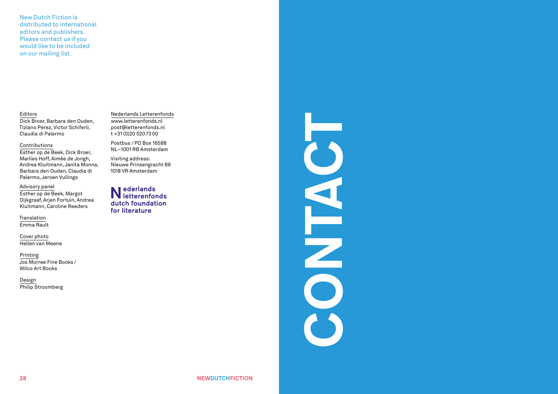New Dutch Fiction is distributed to international editors and publishers. Please contact us if you would like to be included on our mailing list.

#### Editors

Dick Broer, Barbara den Ouden, Tiziano Perez, Victor Schiferli, Claudia di Palermo

#### Contributions

Esther op de Beek, Dick Broer, Marlies Hoff, Aimée de Jongh, Andrea Kluitmann, Janita Monna, Barbara den Ouden, Claudia di Palermo, Jeroen Vullings

#### Advisory panel

Esther op de Beek, Margot Dijkgraaf, Arjen Fortuin, Andrea Kluitmann, Caroline Reeders

Translation Emma Rault

Cover photo Hellen van Meene

Printing Jos Morree Fine Books / Wilco Art Books

Design Philip Stroomberg Nederlands Letterenfonds www.letterenfonds.nl post@letterenfonds.nl  $t + 31 (0)205207300$ 

Postbus /PO Box 16588 NL–1001 RB Amsterdam

Visiting address: Nieuwe Prinsengracht 89 1018 VR Amsterdam

Nederlands<br>Netterenfonds dutch foundation for literature

# CONTACT NO